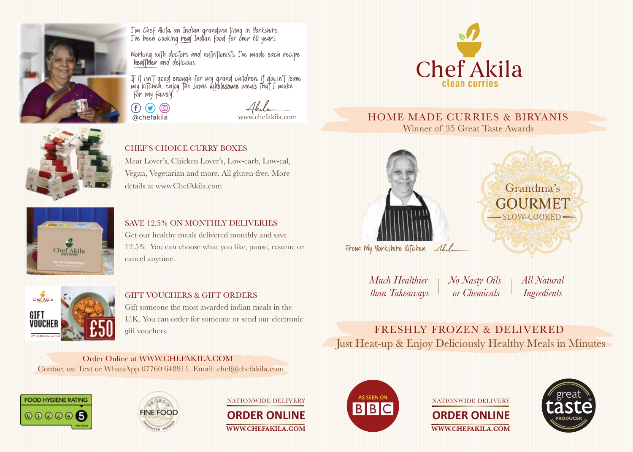

*I'm Chef Akila, an Indian grandma living in Yorkshire.* I've been cooking *real* Indian food for over 60 years.

*Working with doctors and nutritionists, I've made each recipe healthier and delicious.*

If it isn't good enough for my grand children. it doesn't leave my kitchen. Enjoy the same *wholesome meals that I make* for my family.

 $\left( \mathbf{f} \right) \left( \mathbf{g} \right) \left( \mathbf{0} \right)$ @chefakila



#### HOME MADE CURRIES & BIRYANIS Winner of 35 Great Taste Awards



CHEF'S CHOICE CURRY BOXES Meat Lover's, Chicken Lover's, Low-carb, Low-cal,

Vegan, Vegetarian and more. All gluten-free. More details at www.ChefAkila.com



### SAVE 12.5% ON MONTHLY DELIVERIES

Get our healthy meals delivered monthly and save 12.5%. You can choose what you like, pause, resume or cancel anytime.



#### GIFT VOUCHERS & GIFT ORDERS

Gift someone the most awarded indian meals in the U.K. You can order for someone or send our electronic gift vouchers.

Order Online at WWW.CHEFAKILA.COM Contact us: Text or WhatsApp 07760 648911. Email: chef@chefakila.com





NATIONWIDE DELIVERY

**ORDER ONLINE** WWW.CHEFAKILA.COM



### **ORDER ONLINE** WWW.CHEFAKILA.COM NATIONWIDE DELIVERY





From My Yorkshire Kitchen

*Much Healthier than Takeaways No Nasty Oils or Chemicals*

*All Natural Ingredients*

FRESHLY FROZEN & DELIVERED Just Heat-up & Enjoy Deliciously Healthy Meals in Minutes